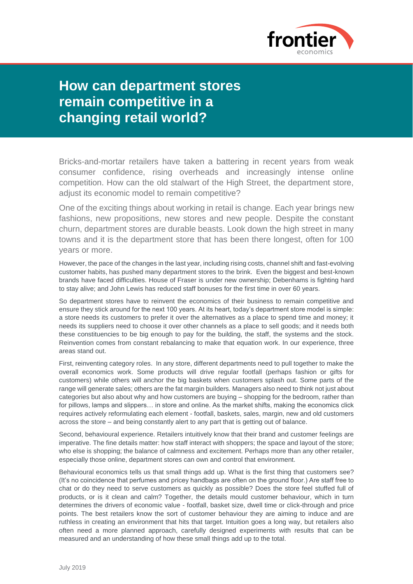

## **How can department stores remain competitive in a changing retail world?**

Bricks-and-mortar retailers have taken a battering in recent years from weak consumer confidence, rising overheads and increasingly intense online competition. How can the old stalwart of the High Street, the department store, adjust its economic model to remain competitive?

One of the exciting things about working in retail is change. Each year brings new fashions, new propositions, new stores and new people. Despite the constant churn, department stores are durable beasts. Look down the high street in many towns and it is the department store that has been there longest, often for 100 years or more.

However, the pace of the changes in the last year, including rising costs, channel shift and fast-evolving customer habits, has pushed many department stores to the brink. Even the biggest and best-known brands have faced difficulties. House of Fraser is under new ownership; Debenhams is fighting hard to stay alive; and John Lewis has reduced staff bonuses for the first time in over 60 years.

So department stores have to reinvent the economics of their business to remain competitive and ensure they stick around for the next 100 years. At its heart, today's department store model is simple: a store needs its customers to prefer it over the alternatives as a place to spend time and money; it needs its suppliers need to choose it over other channels as a place to sell goods; and it needs both these constituencies to be big enough to pay for the building, the staff, the systems and the stock. Reinvention comes from constant rebalancing to make that equation work. In our experience, three areas stand out.

First, reinventing category roles. In any store, different departments need to pull together to make the overall economics work. Some products will drive regular footfall (perhaps fashion or gifts for customers) while others will anchor the big baskets when customers splash out. Some parts of the range will generate sales; others are the fat margin builders. Managers also need to think not just about categories but also about why and how customers are buying – shopping for the bedroom, rather than for pillows, lamps and slippers… in store and online. As the market shifts, making the economics click requires actively reformulating each element - footfall, baskets, sales, margin, new and old customers across the store – and being constantly alert to any part that is getting out of balance.

Second, behavioural experience. Retailers intuitively know that their brand and customer feelings are imperative. The fine details matter: how staff interact with shoppers; the space and layout of the store; who else is shopping; the balance of calmness and excitement. Perhaps more than any other retailer, especially those online, department stores can own and control that environment.

Behavioural economics tells us that small things add up. What is the first thing that customers see? (It's no coincidence that perfumes and pricey handbags are often on the ground floor.) Are staff free to chat or do they need to serve customers as quickly as possible? Does the store feel stuffed full of products, or is it clean and calm? Together, the details mould customer behaviour, which in turn determines the drivers of economic value - footfall, basket size, dwell time or click-through and price points. The best retailers know the sort of customer behaviour they are aiming to induce and are ruthless in creating an environment that hits that target. Intuition goes a long way, but retailers also often need a more planned approach, carefully designed experiments with results that can be measured and an understanding of how these small things add up to the total.